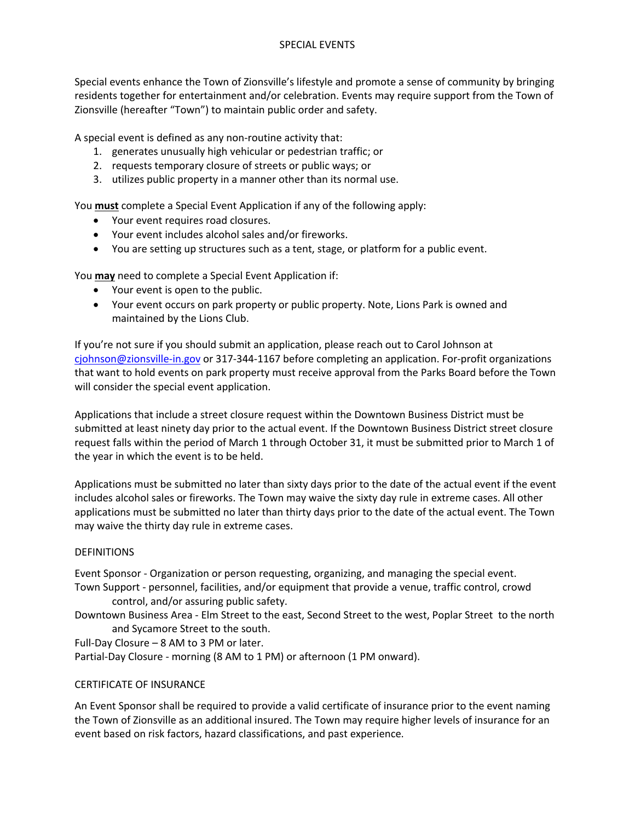# SPECIAL EVENTS

Special events enhance the Town of Zionsville's lifestyle and promote a sense of community by bringing residents together for entertainment and/or celebration. Events may require support from the Town of Zionsville (hereafter "Town") to maintain public order and safety.

A special event is defined as any non-routine activity that:

- 1. generates unusually high vehicular or pedestrian traffic; or
- 2. requests temporary closure of streets or public ways; or
- 3. utilizes public property in a manner other than its normal use.

You **must** complete a Special Event Application if any of the following apply:

- Your event requires road closures.
- Your event includes alcohol sales and/or fireworks.
- You are setting up structures such as a tent, stage, or platform for a public event.

You **may** need to complete a Special Event Application if:

- Your event is open to the public.
- Your event occurs on park property or public property. Note, Lions Park is owned and maintained by the Lions Club.

If you're not sure if you should submit an application, please reach out to Carol Johnson at cjohnson@zionsville-in.gov or 317-344-1167 before completing an application. For-profit organizations that want to hold events on park property must receive approval from the Parks Board before the Town will consider the special event application.

Applications that include a street closure request within the Downtown Business District must be submitted at least ninety day prior to the actual event. If the Downtown Business District street closure request falls within the period of March 1 through October 31, it must be submitted prior to March 1 of the year in which the event is to be held.

Applications must be submitted no later than sixty days prior to the date of the actual event if the event includes alcohol sales or fireworks. The Town may waive the sixty day rule in extreme cases. All other applications must be submitted no later than thirty days prior to the date of the actual event. The Town may waive the thirty day rule in extreme cases.

# DEFINITIONS

Event Sponsor - Organization or person requesting, organizing, and managing the special event. Town Support - personnel, facilities, and/or equipment that provide a venue, traffic control, crowd control, and/or assuring public safety.

Downtown Business Area - Elm Street to the east, Second Street to the west, Poplar Street to the north and Sycamore Street to the south.

Full-Day Closure – 8 AM to 3 PM or later.

Partial-Day Closure - morning (8 AM to 1 PM) or afternoon (1 PM onward).

# CERTIFICATE OF INSURANCE

An Event Sponsor shall be required to provide a valid certificate of insurance prior to the event naming the Town of Zionsville as an additional insured. The Town may require higher levels of insurance for an event based on risk factors, hazard classifications, and past experience.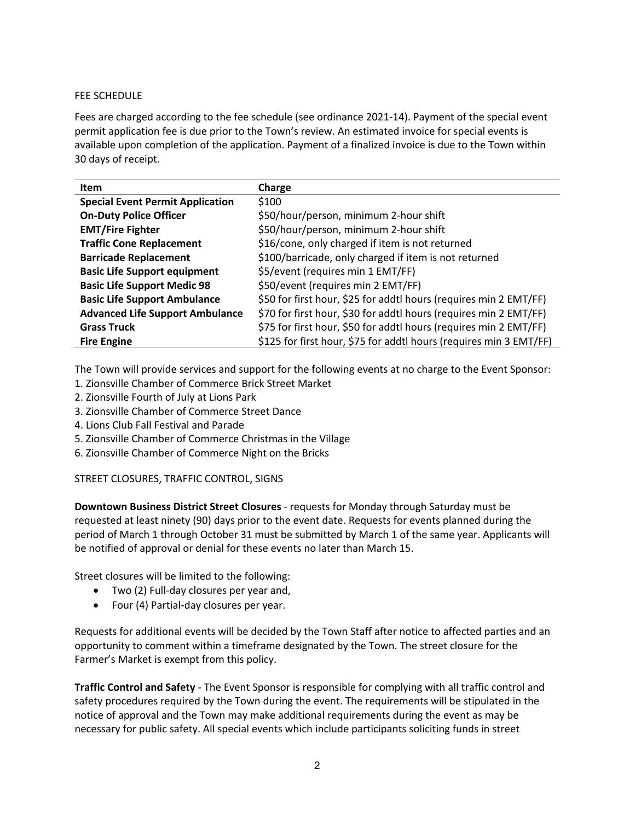# FEE SCHEDULE

Fees are charged according to the fee schedule (see ordinance 2021-14). Payment of the special event permit application fee is due prior to the Town's review. An estimated invoice for special events is available upon completion of the application. Payment of a finalized invoice is due to the Town within 30 days of receipt.

| <b>Item</b>                             | Charge                                                             |
|-----------------------------------------|--------------------------------------------------------------------|
| <b>Special Event Permit Application</b> | \$100                                                              |
| <b>On-Duty Police Officer</b>           | \$50/hour/person, minimum 2-hour shift                             |
| <b>EMT/Fire Fighter</b>                 | \$50/hour/person, minimum 2-hour shift                             |
| <b>Traffic Cone Replacement</b>         | \$16/cone, only charged if item is not returned                    |
| <b>Barricade Replacement</b>            | \$100/barricade, only charged if item is not returned              |
| <b>Basic Life Support equipment</b>     | \$5/event (requires min 1 EMT/FF)                                  |
| <b>Basic Life Support Medic 98</b>      | \$50/event (requires min 2 EMT/FF)                                 |
| <b>Basic Life Support Ambulance</b>     | \$50 for first hour, \$25 for addtl hours (requires min 2 EMT/FF)  |
| <b>Advanced Life Support Ambulance</b>  | \$70 for first hour, \$30 for addtl hours (requires min 2 EMT/FF)  |
| <b>Grass Truck</b>                      | \$75 for first hour, \$50 for addtl hours (requires min 2 EMT/FF)  |
| <b>Fire Engine</b>                      | \$125 for first hour, \$75 for addtl hours (requires min 3 EMT/FF) |

The Town will provide services and support for the following events at no charge to the Event Sponsor:

- 1. Zionsville Chamber of Commerce Brick Street Market
- 2. Zionsville Fourth of July at Lions Park
- 3. Zionsville Chamber of Commerce Street Dance
- 4. Lions Club Fall Festival and Parade
- 5. Zionsville Chamber of Commerce Christmas in the Village
- 6. Zionsville Chamber of Commerce Night on the Bricks

STREET CLOSURES, TRAFFIC CONTROL, SIGNS

**Downtown Business District Street Closures** - requests for Monday through Saturday must be requested at least ninety (90) days prior to the event date. Requests for events planned during the period of March 1 through October 31 must be submitted by March 1 of the same year. Applicants will be notified of approval or denial for these events no later than March 15.

Street closures will be limited to the following:

- Two (2) Full-day closures per year and,
- Four (4) Partial-day closures per year.

Requests for additional events will be decided by the Town Staff after notice to affected parties and an opportunity to comment within a timeframe designated by the Town. The street closure for the Farmer's Market is exempt from this policy.

**Traffic Control and Safety** - The Event Sponsor is responsible for complying with all traffic control and safety procedures required by the Town during the event. The requirements will be stipulated in the notice of approval and the Town may make additional requirements during the event as may be necessary for public safety. All special events which include participants soliciting funds in street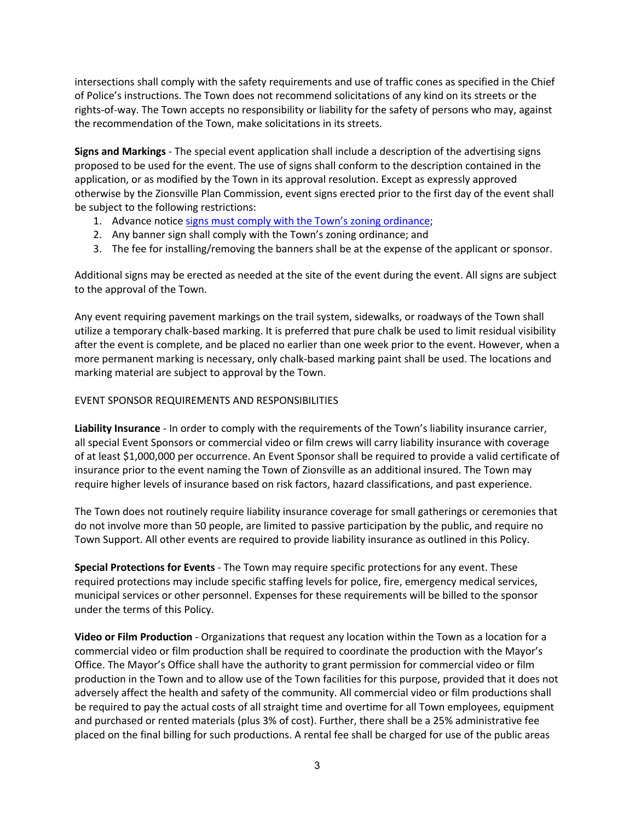intersections shall comply with the safety requirements and use of traffic cones as specified in the Chief of Police's instructions. The Town does not recommend solicitations of any kind on its streets or the rights-of-way. The Town accepts no responsibility or liability for the safety of persons who may, against the recommendation of the Town, make solicitations in its streets.

**Signs and Markings** - The special event application shall include a description of the advertising signs proposed to be used for the event. The use of signs shall conform to the description contained in the application, or as modified by the Town in its approval resolution. Except as expressly approved otherwise by the Zionsville Plan Commission, event signs erected prior to the first day of the event shall be subject to the following restrictions:

- 1. Advance notice signs must comply with the Town's zoning ordinance;
- 2. Any banner sign shall comply with the Town's zoning ordinance; and
- 3. The fee for installing/removing the banners shall be at the expense of the applicant or sponsor.

Additional signs may be erected as needed at the site of the event during the event. All signs are subject to the approval of the Town.

Any event requiring pavement markings on the trail system, sidewalks, or roadways of the Town shall utilize a temporary chalk-based marking. It is preferred that pure chalk be used to limit residual visibility after the event is complete, and be placed no earlier than one week prior to the event. However, when a more permanent marking is necessary, only chalk-based marking paint shall be used. The locations and marking material are subject to approval by the Town.

#### EVENT SPONSOR REQUIREMENTS AND RESPONSIBILITIES

**Liability Insurance** - In order to comply with the requirements of the Town's liability insurance carrier, all special Event Sponsors or commercial video or film crews will carry liability insurance with coverage of at least \$1,000,000 per occurrence. An Event Sponsor shall be required to provide a valid certificate of insurance prior to the event naming the Town of Zionsville as an additional insured. The Town may require higher levels of insurance based on risk factors, hazard classifications, and past experience.

The Town does not routinely require liability insurance coverage for small gatherings or ceremonies that do not involve more than 50 people, are limited to passive participation by the public, and require no Town Support. All other events are required to provide liability insurance as outlined in this Policy.

**Special Protections for Events** - The Town may require specific protections for any event. These required protections may include specific staffing levels for police, fire, emergency medical services, municipal services or other personnel. Expenses for these requirements will be billed to the sponsor under the terms of this Policy.

**Video or Film Production** - Organizations that request any location within the Town as a location for a commercial video or film production shall be required to coordinate the production with the Mayor's Office. The Mayor's Office shall have the authority to grant permission for commercial video or film production in the Town and to allow use of the Town facilities for this purpose, provided that it does not adversely affect the health and safety of the community. All commercial video or film productions shall be required to pay the actual costs of all straight time and overtime for all Town employees, equipment and purchased or rented materials (plus 3% of cost). Further, there shall be a 25% administrative fee placed on the final billing for such productions. A rental fee shall be charged for use of the public areas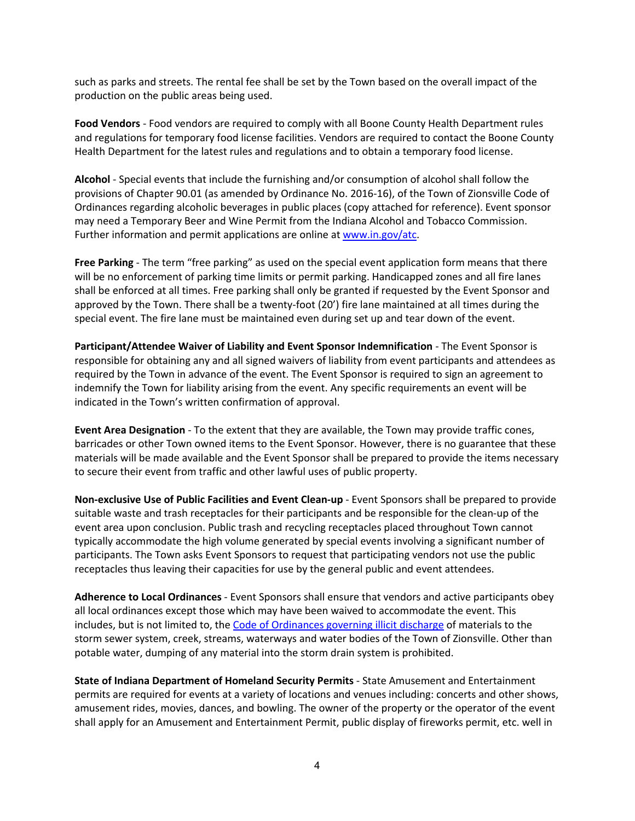such as parks and streets. The rental fee shall be set by the Town based on the overall impact of the production on the public areas being used.

**Food Vendors** - Food vendors are required to comply with all Boone County Health Department rules and regulations for temporary food license facilities. Vendors are required to contact the Boone County Health Department for the latest rules and regulations and to obtain a temporary food license.

**Alcohol** - Special events that include the furnishing and/or consumption of alcohol shall follow the provisions of Chapter 90.01 (as amended by Ordinance No. 2016-16), of the Town of Zionsville Code of Ordinances regarding alcoholic beverages in public places (copy attached for reference). Event sponsor may need a Temporary Beer and Wine Permit from the Indiana Alcohol and Tobacco Commission. Further information and permit applications are online at www.in.gov/atc.

**Free Parking** - The term "free parking" as used on the special event application form means that there will be no enforcement of parking time limits or permit parking. Handicapped zones and all fire lanes shall be enforced at all times. Free parking shall only be granted if requested by the Event Sponsor and approved by the Town. There shall be a twenty-foot (20') fire lane maintained at all times during the special event. The fire lane must be maintained even during set up and tear down of the event.

**Participant/Attendee Waiver of Liability and Event Sponsor Indemnification** - The Event Sponsor is responsible for obtaining any and all signed waivers of liability from event participants and attendees as required by the Town in advance of the event. The Event Sponsor is required to sign an agreement to indemnify the Town for liability arising from the event. Any specific requirements an event will be indicated in the Town's written confirmation of approval.

**Event Area Designation** - To the extent that they are available, the Town may provide traffic cones, barricades or other Town owned items to the Event Sponsor. However, there is no guarantee that these materials will be made available and the Event Sponsor shall be prepared to provide the items necessary to secure their event from traffic and other lawful uses of public property.

**Non-exclusive Use of Public Facilities and Event Clean-up** - Event Sponsors shall be prepared to provide suitable waste and trash receptacles for their participants and be responsible for the clean-up of the event area upon conclusion. Public trash and recycling receptacles placed throughout Town cannot typically accommodate the high volume generated by special events involving a significant number of participants. The Town asks Event Sponsors to request that participating vendors not use the public receptacles thus leaving their capacities for use by the general public and event attendees.

**Adherence to Local Ordinances** - Event Sponsors shall ensure that vendors and active participants obey all local ordinances except those which may have been waived to accommodate the event. This includes, but is not limited to, the Code of Ordinances governing illicit discharge of materials to the storm sewer system, creek, streams, waterways and water bodies of the Town of Zionsville. Other than potable water, dumping of any material into the storm drain system is prohibited.

**State of Indiana Department of Homeland Security Permits** - State Amusement and Entertainment permits are required for events at a variety of locations and venues including: concerts and other shows, amusement rides, movies, dances, and bowling. The owner of the property or the operator of the event shall apply for an Amusement and Entertainment Permit, public display of fireworks permit, etc. well in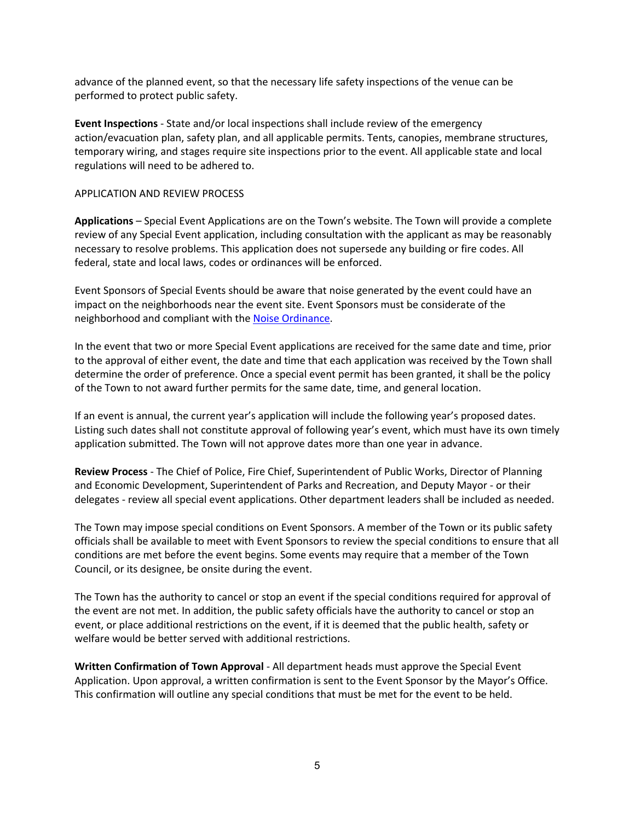advance of the planned event, so that the necessary life safety inspections of the venue can be performed to protect public safety.

**Event Inspections** - State and/or local inspections shall include review of the emergency action/evacuation plan, safety plan, and all applicable permits. Tents, canopies, membrane structures, temporary wiring, and stages require site inspections prior to the event. All applicable state and local regulations will need to be adhered to.

#### APPLICATION AND REVIEW PROCESS

**Applications** – Special Event Applications are on the Town's website. The Town will provide a complete review of any Special Event application, including consultation with the applicant as may be reasonably necessary to resolve problems. This application does not supersede any building or fire codes. All federal, state and local laws, codes or ordinances will be enforced.

Event Sponsors of Special Events should be aware that noise generated by the event could have an impact on the neighborhoods near the event site. Event Sponsors must be considerate of the neighborhood and compliant with the Noise Ordinance.

In the event that two or more Special Event applications are received for the same date and time, prior to the approval of either event, the date and time that each application was received by the Town shall determine the order of preference. Once a special event permit has been granted, it shall be the policy of the Town to not award further permits for the same date, time, and general location.

If an event is annual, the current year's application will include the following year's proposed dates. Listing such dates shall not constitute approval of following year's event, which must have its own timely application submitted. The Town will not approve dates more than one year in advance.

**Review Process** - The Chief of Police, Fire Chief, Superintendent of Public Works, Director of Planning and Economic Development, Superintendent of Parks and Recreation, and Deputy Mayor - or their delegates - review all special event applications. Other department leaders shall be included as needed.

The Town may impose special conditions on Event Sponsors. A member of the Town or its public safety officials shall be available to meet with Event Sponsors to review the special conditions to ensure that all conditions are met before the event begins. Some events may require that a member of the Town Council, or its designee, be onsite during the event.

The Town has the authority to cancel or stop an event if the special conditions required for approval of the event are not met. In addition, the public safety officials have the authority to cancel or stop an event, or place additional restrictions on the event, if it is deemed that the public health, safety or welfare would be better served with additional restrictions.

**Written Confirmation of Town Approval** - All department heads must approve the Special Event Application. Upon approval, a written confirmation is sent to the Event Sponsor by the Mayor's Office. This confirmation will outline any special conditions that must be met for the event to be held.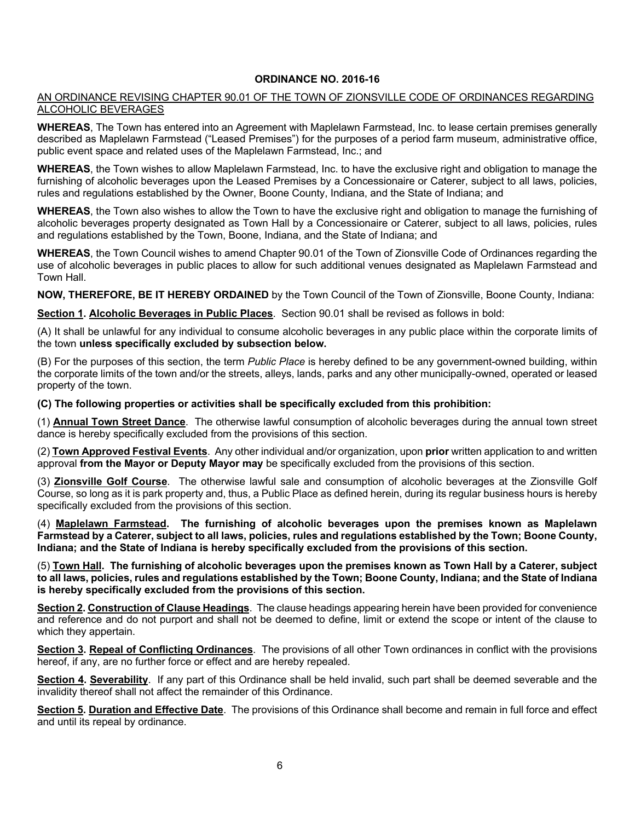#### **ORDINANCE NO. 2016-16**

#### AN ORDINANCE REVISING CHAPTER 90.01 OF THE TOWN OF ZIONSVILLE CODE OF ORDINANCES REGARDING ALCOHOLIC BEVERAGES

**WHEREAS**, The Town has entered into an Agreement with Maplelawn Farmstead, Inc. to lease certain premises generally described as Maplelawn Farmstead ("Leased Premises") for the purposes of a period farm museum, administrative office, public event space and related uses of the Maplelawn Farmstead, Inc.; and

**WHEREAS**, the Town wishes to allow Maplelawn Farmstead, Inc. to have the exclusive right and obligation to manage the furnishing of alcoholic beverages upon the Leased Premises by a Concessionaire or Caterer, subject to all laws, policies, rules and regulations established by the Owner, Boone County, Indiana, and the State of Indiana; and

**WHEREAS**, the Town also wishes to allow the Town to have the exclusive right and obligation to manage the furnishing of alcoholic beverages property designated as Town Hall by a Concessionaire or Caterer, subject to all laws, policies, rules and regulations established by the Town, Boone, Indiana, and the State of Indiana; and

**WHEREAS**, the Town Council wishes to amend Chapter 90.01 of the Town of Zionsville Code of Ordinances regarding the use of alcoholic beverages in public places to allow for such additional venues designated as Maplelawn Farmstead and Town Hall.

**NOW, THEREFORE, BE IT HEREBY ORDAINED** by the Town Council of the Town of Zionsville, Boone County, Indiana:

**Section 1. Alcoholic Beverages in Public Places**. Section 90.01 shall be revised as follows in bold:

(A) It shall be unlawful for any individual to consume alcoholic beverages in any public place within the corporate limits of the town **unless specifically excluded by subsection below.**

(B) For the purposes of this section, the term *Public Place* is hereby defined to be any government-owned building, within the corporate limits of the town and/or the streets, alleys, lands, parks and any other municipally-owned, operated or leased property of the town.

**(C) The following properties or activities shall be specifically excluded from this prohibition:**

(1) **Annual Town Street Dance**. The otherwise lawful consumption of alcoholic beverages during the annual town street dance is hereby specifically excluded from the provisions of this section.

(2) **Town Approved Festival Events**. Any other individual and/or organization, upon **prior** written application to and written approval **from the Mayor or Deputy Mayor may** be specifically excluded from the provisions of this section.

(3) **Zionsville Golf Course**. The otherwise lawful sale and consumption of alcoholic beverages at the Zionsville Golf Course, so long as it is park property and, thus, a Public Place as defined herein, during its regular business hours is hereby specifically excluded from the provisions of this section.

(4) **Maplelawn Farmstead. The furnishing of alcoholic beverages upon the premises known as Maplelawn Farmstead by a Caterer, subject to all laws, policies, rules and regulations established by the Town; Boone County, Indiana; and the State of Indiana is hereby specifically excluded from the provisions of this section.**

(5) **Town Hall. The furnishing of alcoholic beverages upon the premises known as Town Hall by a Caterer, subject to all laws, policies, rules and regulations established by the Town; Boone County, Indiana; and the State of Indiana is hereby specifically excluded from the provisions of this section.**

**Section 2. Construction of Clause Headings**. The clause headings appearing herein have been provided for convenience and reference and do not purport and shall not be deemed to define, limit or extend the scope or intent of the clause to which they appertain.

**Section 3. Repeal of Conflicting Ordinances**. The provisions of all other Town ordinances in conflict with the provisions hereof, if any, are no further force or effect and are hereby repealed.

**Section 4. Severability**. If any part of this Ordinance shall be held invalid, such part shall be deemed severable and the invalidity thereof shall not affect the remainder of this Ordinance.

**Section 5. Duration and Effective Date**. The provisions of this Ordinance shall become and remain in full force and effect and until its repeal by ordinance.